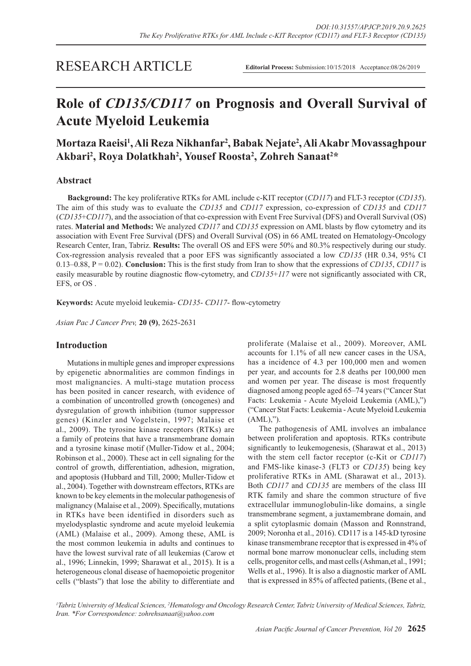## RESEARCH ARTICLE

# **Role of** *CD135/CD117* **on Prognosis and Overall Survival of Acute Myeloid Leukemia**

## **Mortaza Raeisi1 , Ali Reza Nikhanfar2 , Babak Nejate2 , Ali Akabr Movassaghpour Akbari2 , Roya Dolatkhah2 , Yousef Roosta2 , Zohreh Sanaat2 \***

## **Abstract**

**Background:** The key proliferative RTKs for AML include c-KIT receptor (*CD117*) and FLT-3 receptor (*CD135*). The aim of this study was to evaluate the *CD135* and *CD117* expression, co-expression of *CD135* and *CD117* (*CD135*+*CD117*), and the association of that co-expression with Event Free Survival (DFS) and Overall Survival (OS) rates. **Material and Methods:** We analyzed *CD117* and *CD135* expression on AML blasts by flow cytometry and its association with Event Free Survival (DFS) and Overall Survival (OS) in 66 AML treated on Hematology-Oncology Research Center, Iran, Tabriz. **Results:** The overall OS and EFS were 50% and 80.3% respectively during our study. Cox-regression analysis revealed that a poor EFS was significantly associated a low *CD135* (HR 0.34, 95% CI 0.13–0.88,  $P = 0.02$ ). **Conclusion:** This is the first study from Iran to show that the expressions of *CD135*, *CD117* is easily measurable by routine diagnostic flow-cytometry, and *CD135+117* were not significantly associated with CR, EFS, or OS .

**Keywords:** Acute myeloid leukemia- *CD135*- *CD117*- flow-cytometry

*Asian Pac J Cancer Prev,* **20 (9)**, 2625-2631

## **Introduction**

Mutations in multiple genes and improper expressions by epigenetic abnormalities are common findings in most malignancies. A multi-stage mutation process has been posited in cancer research, with evidence of a combination of uncontrolled growth (oncogenes) and dysregulation of growth inhibition (tumor suppressor genes) (Kinzler and Vogelstein, 1997; Malaise et al., 2009). The tyrosine kinase receptors (RTKs) are a family of proteins that have a transmembrane domain and a tyrosine kinase motif (Muller-Tidow et al., 2004; Robinson et al., 2000). These act in cell signaling for the control of growth, differentiation, adhesion, migration, and apoptosis (Hubbard and Till, 2000; Muller-Tidow et al., 2004). Together with downstream effectors, RTKs are known to be key elements in the molecular pathogenesis of malignancy (Malaise et al., 2009). Specifically, mutations in RTKs have been identified in disorders such as myelodysplastic syndrome and acute myeloid leukemia (AML) (Malaise et al., 2009). Among these, AML is the most common leukemia in adults and continues to have the lowest survival rate of all leukemias (Carow et al., 1996; Linnekin, 1999; Sharawat et al., 2015). It is a heterogeneous clonal disease of haemopoietic progenitor cells ("blasts") that lose the ability to differentiate and

proliferate (Malaise et al., 2009). Moreover, AML accounts for 1.1% of all new cancer cases in the USA, has a incidence of 4.3 per 100,000 men and women per year, and accounts for 2.8 deaths per 100,000 men and women per year. The disease is most frequently diagnosed among people aged 65–74 years ("Cancer Stat Facts: Leukemia - Acute Myeloid Leukemia (AML),") ("Cancer Stat Facts: Leukemia - Acute Myeloid Leukemia  $(AML)$ ,").

The pathogenesis of AML involves an imbalance between proliferation and apoptosis. RTKs contribute significantly to leukemogenesis, (Sharawat et al., 2013) with the stem cell factor receptor (c-Kit or *CD117*) and FMS-like kinase-3 (FLT3 or *CD135*) being key proliferative RTKs in AML (Sharawat et al., 2013). Both *CD117* and *CD135* are members of the class III RTK family and share the common structure of five extracellular immunoglobulin-like domains, a single transmembrane segment, a juxtamembrane domain, and a split cytoplasmic domain (Masson and Ronnstrand, 2009; Noronha et al., 2016). CD117 is a 145-kD tyrosine kinase transmembrane receptor that is expressed in 4% of normal bone marrow mononuclear cells, including stem cells, progenitor cells, and mast cells (Ashman,et al., 1991; Wells et al., 1996). It is also a diagnostic marker of AML that is expressed in 85% of affected patients, (Bene et al.,

*1 Tabriz University of Medical Sciences, 2 Hematology and Oncology Research Center, Tabriz University of Medical Sciences, Tabriz, Iran. \*For Correspondence: zohrehsanaat@yahoo.com*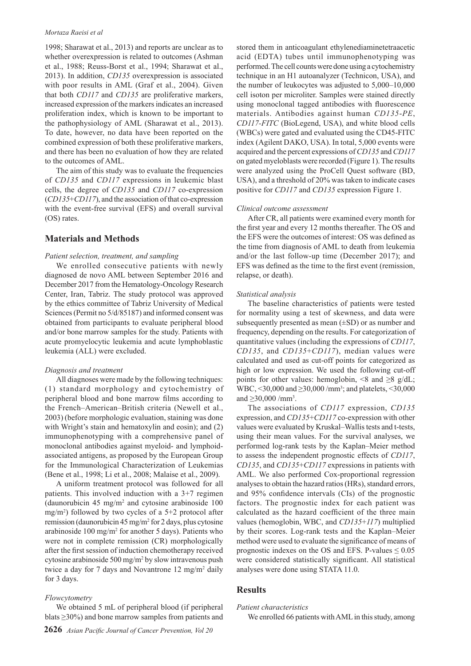#### *Mortaza Raeisi et al*

1998; Sharawat et al., 2013) and reports are unclear as to whether overexpression is related to outcomes (Ashman et al., 1988; Reuss-Borst et al., 1994; Sharawat et al., 2013). In addition, *CD135* overexpression is associated with poor results in AML (Graf et al., 2004). Given that both *CD117* and *CD135* are proliferative markers, increased expression of the markers indicates an increased proliferation index, which is known to be important to the pathophysiology of AML (Sharawat et al., 2013). To date, however, no data have been reported on the combined expression of both these proliferative markers, and there has been no evaluation of how they are related to the outcomes of AML.

The aim of this study was to evaluate the frequencies of *CD135* and *CD117* expressions in leukemic blast cells, the degree of *CD135* and *CD117* co-expression (*CD135*+*CD117*), and the association of that co-expression with the event-free survival (EFS) and overall survival (OS) rates.

## **Materials and Methods**

#### *Patient selection, treatment, and sampling*

We enrolled consecutive patients with newly diagnosed de novo AML between September 2016 and December 2017 from the Hematology-Oncology Research Center, Iran, Tabriz. The study protocol was approved by the ethics committee of Tabriz University of Medical Sciences (Permit no 5/d/85187) and informed consent was obtained from participants to evaluate peripheral blood and/or bone marrow samples for the study. Patients with acute promyelocytic leukemia and acute lymphoblastic leukemia (ALL) were excluded.

#### *Diagnosis and treatment*

All diagnoses were made by the following techniques: (1) standard morphology and cytochemistry of peripheral blood and bone marrow films according to the French–American–British criteria (Newell et al., 2003) (before morphologic evaluation, staining was done with Wright's stain and hematoxylin and eosin); and (2) immunophenotyping with a comprehensive panel of monoclonal antibodies against myeloid- and lymphoidassociated antigens, as proposed by the European Group for the Immunological Characterization of Leukemias (Bene et al., 1998; Li et al., 2008; Malaise et al., 2009).

A uniform treatment protocol was followed for all patients. This involved induction with a 3+7 regimen (daunorubicin  $45 \text{ mg/m}^2$  and cytosine arabinoside  $100$ mg/m2 ) followed by two cycles of a 5+2 protocol after remission (daunorubicin 45 mg/m2 for 2 days, plus cytosine arabinoside  $100 \text{ mg/m}^2$  for another 5 days). Patients who were not in complete remission (CR) morphologically after the first session of induction chemotherapy received cytosine arabinoside 500 mg/m2 by slow intravenous push twice a day for 7 days and Novantrone 12 mg/m<sup>2</sup> daily for 3 days.

#### *Flowcytometry*

We obtained 5 mL of peripheral blood (if peripheral blats  $\geq$ 30%) and bone marrow samples from patients and stored them in anticoagulant ethylenediaminetetraacetic acid (EDTA) tubes until immunophenotyping was performed. The cell counts were done using a cytochemistry technique in an H1 autoanalyzer (Technicon, USA), and the number of leukocytes was adjusted to 5,000–10,000 cell isoton per microliter. Samples were stained directly using monoclonal tagged antibodies with fluorescence materials. Antibodies against human *CD135*-*PE*, *CD117-FITC* (BioLegend, USA), and white blood cells (WBCs) were gated and evaluated using the CD45-FITC index (Agilent DAKO, USA). In total, 5,000 events were acquired and the percent expressions of *CD135* and *CD117* on gated myeloblasts were recorded (Figure 1). The results were analyzed using the ProCell Quest software (BD, USA), and a threshold of 20% was taken to indicate cases positive for *CD117* and *CD135* expression Figure 1.

#### *Clinical outcome assessment*

After CR, all patients were examined every month for the first year and every 12 months thereafter. The OS and the EFS were the outcomes of interest: OS was defined as the time from diagnosis of AML to death from leukemia and/or the last follow-up time (December 2017); and EFS was defined as the time to the first event (remission, relapse, or death).

#### *Statistical analysis*

The baseline characteristics of patients were tested for normality using a test of skewness, and data were subsequently presented as mean (±SD) or as number and frequency, depending on the results. For categorization of quantitative values (including the expressions of *CD117*, *CD135*, and *CD135*+*CD117*), median values were calculated and used as cut-off points for categorized as high or low expression. We used the following cut-off points for other values: hemoglobin,  $\leq 8$  and  $\geq 8$  g/dL; WBC, <30,000 and ≥30,000 /mm<sup>3</sup>; and platelets, <30,000 and  $\geq$ 30,000 /mm<sup>3</sup>.

The associations of *CD117* expression, *CD135* expression, and *CD135*+*CD117* co-expression with other values were evaluated by Kruskal–Wallis tests and t-tests, using their mean values. For the survival analyses, we performed log-rank tests by the Kaplan–Meier method to assess the independent prognostic effects of *CD117*, *CD135*, and *CD135*+*CD117* expressions in patients with AML. We also performed Cox-proportional regression analyses to obtain the hazard ratios (HRs), standard errors, and 95% confidence intervals (CIs) of the prognostic factors. The prognostic index for each patient was calculated as the hazard coefficient of the three main values (hemoglobin, WBC, and *CD135*+*117*) multiplied by their scores. Log-rank tests and the Kaplan–Meier method were used to evaluate the significance of means of prognostic indexes on the OS and EFS. P-values  $\leq 0.05$ were considered statistically significant. All statistical analyses were done using STATA 11.0.

## **Results**

#### *Patient characteristics*

We enrolled 66 patients with AML in this study, among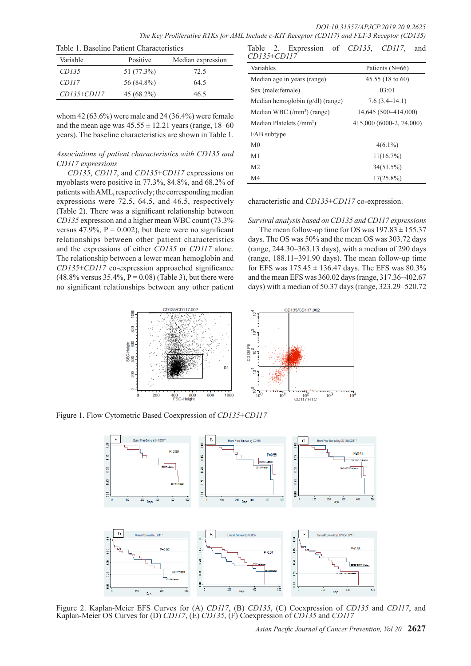*DOI:10.31557/APJCP.2019.20.9.2625 The Key Proliferative RTKs for AML Include c-KIT Receptor (CD117) and FLT-3 Receptor (CD135)*

| Table 1. Baseline Patient Characteristics |              |                   |  |  |  |  |  |  |
|-------------------------------------------|--------------|-------------------|--|--|--|--|--|--|
| Variable                                  | Positive     | Median expression |  |  |  |  |  |  |
| CD135                                     | 51 (77.3%)   | 72.5              |  |  |  |  |  |  |
| <i>CD117</i>                              | 56 (84.8%)   | 64.5              |  |  |  |  |  |  |
| $CD135+CDI17$                             | $45(68.2\%)$ | 46.5              |  |  |  |  |  |  |

whom 42 (63.6%) were male and 24 (36.4%) were female and the mean age was  $45.55 \pm 12.21$  years (range, 18–60) years). The baseline characteristics are shown in Table 1.

### *Associations of patient characteristics with CD135 and CD117 expressions*

*CD135*, *CD117*, and *CD135*+*CD117* expressions on myoblasts were positive in 77.3%, 84.8%, and 68.2% of patients with AML, respectively; the corresponding median expressions were 72.5, 64.5, and 46.5, respectively (Table 2). There was a significant relationship between *CD135* expression and a higher mean WBC count (73.3% versus 47.9%,  $P = 0.002$ ), but there were no significant relationships between other patient characteristics and the expressions of either *CD135* or *CD117* alone. The relationship between a lower mean hemoglobin and *CD135*+*CD117* co-expression approached significance  $(48.8\% \text{ versus } 35.4\% \text{, P} = 0.08)$  (Table 3), but there were no significant relationships between any other patient

Table 2. Expression of *CD135*, *CD117*, and *CD135*+*CD117* Variables Patients (N=66) Median age in years (range) 45.55 (18 to 60) Sex (male:female) 03:01 Median hemoglobin (g/dl) (range) 7.6 (3.4–14.1) Median WBC (/mm<sup>3</sup>) (range) ) (range) 14,645 (500–414,000) Median Platelets (/mm<sup>3</sup>) ) 415,000 (6000-2, 74,000) FAB subtype  $M0 \hspace{3.1em} 4(6.1\%)$ M1 11(16.7%) M2 34(51.5%) M4  $17(25.8\%)$ 

characteristic and *CD135*+*CD117* co-expression.

*Survival analysis based on CD135 and CD117 expressions*

The mean follow-up time for OS was  $197.83 \pm 155.37$ days. The OS was 50% and the mean OS was 303.72 days (range, 244.30–363.13 days), with a median of 290 days (range, 188.11–391.90 days). The mean follow-up time for EFS was  $175.45 \pm 136.47$  days. The EFS was  $80.3\%$ and the mean EFS was 360.02 days (range, 317.36–402.67 days) with a median of 50.37 days (range, 323.29–520.72



Figure 1. Flow Cytometric Based Coexpression of *CD135*+*CD117*



Figure 2. Kaplan-Meier EFS Curves for (A) *CD117*, (B) *CD135*, (C) Coexpression of *CD135* and *CD117*, and Kaplan-Meier OS Curves for (D) *CD117*, (E) *CD135*, (F) Coexpression of *CD135* and *CD117*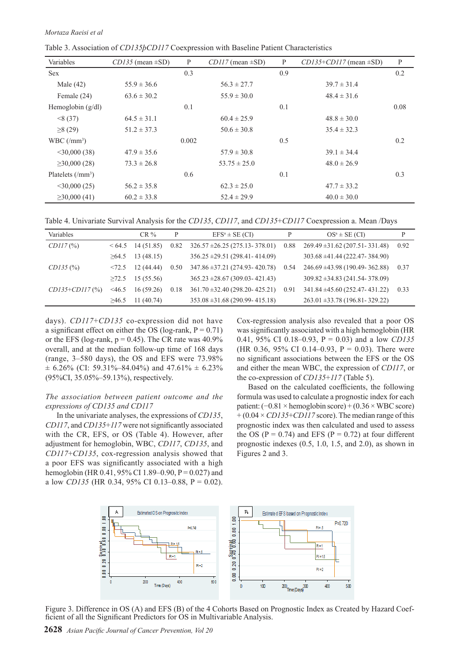| Table 3. Association of <i>CD135bCD117</i> Coexpression with Baseline Patient Characteristics |  |  |  |
|-----------------------------------------------------------------------------------------------|--|--|--|
|-----------------------------------------------------------------------------------------------|--|--|--|

| Variables                  | $CD135$ (mean $\pm SD$ ) | P     | $CD117$ (mean $\pm$ SD) | $\mathbf{P}$ | $CD135+CD117$ (mean $\pm$ SD) | P    |
|----------------------------|--------------------------|-------|-------------------------|--------------|-------------------------------|------|
| <b>Sex</b>                 |                          | 0.3   |                         | 0.9          |                               | 0.2  |
| Male $(42)$                | $55.9 \pm 36.6$          |       | $56.3 \pm 27.7$         |              | $39.7 \pm 31.4$               |      |
| Female (24)                | $63.6 \pm 30.2$          |       | $55.9 \pm 30.0$         |              | $48.4 \pm 31.6$               |      |
| Hemoglobin $(g/dl)$        |                          | 0.1   |                         | 0.1          |                               | 0.08 |
| < 8(37)                    | $64.5 \pm 31.1$          |       | $60.4 \pm 25.9$         |              | $48.8 \pm 30.0$               |      |
| $\geq 8(29)$               | $51.2 \pm 37.3$          |       | $50.6 \pm 30.8$         |              | $35.4 \pm 32.3$               |      |
| WBC $(\text{/mm}^3)$       |                          | 0.002 |                         | 0.5          |                               | 0.2  |
| $\leq 30,000(38)$          | $47.9 \pm 35.6$          |       | $57.9 \pm 30.8$         |              | $39.1 \pm 34.4$               |      |
| $\geq$ 30,000 (28)         | $73.3 \pm 26.8$          |       | $53.75 \pm 25.0$        |              | $48.0 \pm 26.9$               |      |
| Platelets $(\text{/mm}^3)$ |                          | 0.6   |                         | 0.1          |                               | 0.3  |
| $\leq 30,000(25)$          | $56.2 \pm 35.8$          |       | $62.3 \pm 25.0$         |              | $47.7 \pm 33.2$               |      |
| $\geq$ 30,000 (41)         | $60.2 \pm 33.8$          |       | $52.4 \pm 29.9$         |              | $40.0 \pm 30.0$               |      |

Table 4. Univariate Survival Analysis for the *CD135*, *CD117*, and *CD135*+*CD117* Coexpression a. Mean /Days

| Variables         |             | $CR\%$     | P    | $EFS^a \pm SE$ (CI)                  | P    | $OS^a \pm SE$ (CI)                   | P    |
|-------------------|-------------|------------|------|--------------------------------------|------|--------------------------------------|------|
| $CDII7\,(%)$      | <64.5       | 14 (51.85) | 0.82 | $326.57 \pm 26.25 (275.13 - 378.01)$ | 0.88 | $269.49 \pm 31.62$ (207.51 - 331.48) | 0.92 |
|                   | $\geq 64.5$ | 13(48.15)  |      | $356.25 \pm 29.51 (298.41 - 414.09)$ |      | $303.68 \pm 41.44 (222.47 - 384.90)$ |      |
| $CD135\,(%)$      | < 72.5      | 12(44.44)  | 0.50 | $347.86 \pm 37.21$ (274.93-420.78)   | 0.54 | $246.69 \pm 43.98(190.49 - 362.88)$  | 0.37 |
|                   | $\geq$ 72.5 | 15 (55.56) |      | $365.23 \pm 28.67$ (309.03-421.43)   |      | $309.82 \pm 34.83$ (241.54-378.09)   |      |
| $CD135+CDI17$ (%) | <46.5       | 16(59.26)  | 0.18 | $361.70 \pm 32.40$ (298.20-425.21)   | 0.91 | $341.84 \pm 45.60 (252.47 - 431.22)$ | 0.33 |
|                   | $\geq 46.5$ | 11(40.74)  |      | $353.08 \pm 31.68$ (290.99-415.18)   |      | $263.01 \pm 33.78$ (196.81 - 329.22) |      |

days). *CD117*+*CD135* co-expression did not have a significant effect on either the OS (log-rank,  $P = 0.71$ ) or the EFS (log-rank,  $p = 0.45$ ). The CR rate was  $40.9\%$ overall, and at the median follow-up time of 168 days (range, 3–580 days), the OS and EFS were 73.98%  $\pm$  6.26% (CI: 59.31%–84.04%) and 47.61%  $\pm$  6.23% (95%CI, 35.05%–59.13%), respectively.

#### *The association between patient outcome and the expressions of CD135 and CD117*

In the univariate analyses, the expressions of *CD135*, *CD117*, and *CD135*+*117* were not significantly associated with the CR, EFS, or OS (Table 4). However, after adjustment for hemoglobin, WBC, *CD117*, *CD135*, and *CD117*+*CD135*, cox-regression analysis showed that a poor EFS was significantly associated with a high hemoglobin (HR 0.41, 95% CI 1.89–0.90, P = 0.027) and a low *CD135* (HR 0.34, 95% CI 0.13–0.88, P = 0.02).

Cox-regression analysis also revealed that a poor OS was significantly associated with a high hemoglobin (HR 0.41, 95% CI 0.18–0.93, P = 0.03) and a low *CD135* (HR 0.36, 95% CI 0.14–0.93, P = 0.03). There were no significant associations between the EFS or the OS and either the mean WBC, the expression of *CD117*, or the co-expression of *CD135*+*117* (Table 5).

Based on the calculated coefficients, the following formula was used to calculate a prognostic index for each patient:  $(-0.81 \times \text{hemoglobin score}) + (0.36 \times \text{WBC score})$ + (0.04 × *CD135*+*CD117* score). The median range of this prognostic index was then calculated and used to assess the OS ( $P = 0.74$ ) and EFS ( $P = 0.72$ ) at four different prognostic indexes (0.5, 1.0, 1.5, and 2.0), as shown in Figures 2 and 3.



Figure 3. Difference in OS (A) and EFS (B) of the 4 Cohorts Based on Prognostic Index as Created by Hazard Coef-<br>ficient of all the Significant Predictors for OS in Multivariable Analysis.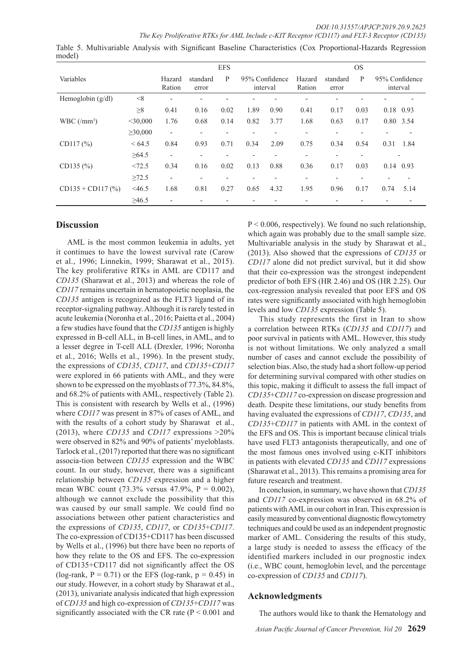|        |  |  |  |  | Table 5. Multivariable Analysis with Significant Baseline Characteristics (Cox Proportional-Hazards Regression |  |
|--------|--|--|--|--|----------------------------------------------------------------------------------------------------------------|--|
| model) |  |  |  |  |                                                                                                                |  |

|                     |               |                          |                          | <b>EFS</b>               |          |                          |                          |                   | <b>OS</b>                |                            |
|---------------------|---------------|--------------------------|--------------------------|--------------------------|----------|--------------------------|--------------------------|-------------------|--------------------------|----------------------------|
| Variables           |               | Hazard<br>Ration         | standard<br>error        | P                        | interval | 95% Confidence           | Hazard<br>Ration         | standard<br>error | P                        | 95% Confidence<br>interval |
| Hemoglobin $(g/dl)$ | <8            | $\overline{a}$           | $\overline{\phantom{0}}$ |                          |          |                          |                          |                   |                          |                            |
|                     | $\geq 8$      | 0.41                     | 0.16                     | 0.02                     | 1.89     | 0.90                     | 0.41                     | 0.17              | 0.03                     | 0.18 0.93                  |
| $WBC/(mm^3)$        | $<$ 30,000    | 1.76                     | 0.68                     | 0.14                     | 0.82     | 3.77                     | 1.68                     | 0.63              | 0.17                     | 0.80 3.54                  |
|                     | $\geq 30,000$ | $\overline{\phantom{0}}$ | $\overline{\phantom{a}}$ | $\overline{a}$           |          | $\overline{\phantom{a}}$ | $\overline{\phantom{a}}$ |                   |                          |                            |
| $CD117$ $(\% )$     | < 64.5        | 0.84                     | 0.93                     | 0.71                     | 0.34     | 2.09                     | 0.75                     | 0.34              | 0.54                     | 0.31<br>1.84               |
|                     | $\geq 64.5$   | $\overline{a}$           | ۰                        | $\overline{\phantom{0}}$ |          | ۰                        | $\overline{\phantom{0}}$ |                   |                          |                            |
| $CD135$ (%)         | < 72.5        | 0.34                     | 0.16                     | 0.02                     | 0.13     | 0.88                     | 0.36                     | 0.17              | 0.03                     | 0.14 0.93                  |
|                     | $\geq 72.5$   | $\overline{a}$           | $\qquad \qquad$          | $\overline{\phantom{0}}$ | -        | ۰                        | $\overline{\phantom{0}}$ | ٠                 | $\overline{\phantom{0}}$ |                            |
| $CD135 + CD117$ (%) | <46.5         | 1.68                     | 0.81                     | 0.27                     | 0.65     | 4.32                     | 1.95                     | 0.96              | 0.17                     | 0.74<br>5.14               |
|                     | $\geq 46.5$   | $\overline{\phantom{0}}$ |                          |                          |          |                          |                          |                   |                          |                            |

## **Discussion**

AML is the most common leukemia in adults, yet it continues to have the lowest survival rate (Carow et al., 1996; Linnekin, 1999; Sharawat et al., 2015). The key proliferative RTKs in AML are CD117 and *CD135* (Sharawat et al., 2013) and whereas the role of *CD117* remains uncertain in hematopoietic neoplasia, the *CD135* antigen is recognized as the FLT3 ligand of its receptor-signaling pathway. Although it is rarely tested in acute leukemia (Noronha et al., 2016; Paietta et al., 2004) a few studies have found that the *CD135* antigen is highly expressed in B-cell ALL, in B-cell lines, in AML, and to a lesser degree in T-cell ALL (Drexler, 1996; Noronha et al., 2016; Wells et al., 1996). In the present study, the expressions of *CD135*, *CD117*, and *CD135*+*CD117*  were explored in 66 patients with AML, and they were shown to be expressed on the myoblasts of 77.3%, 84.8%, and 68.2% of patients with AML, respectively (Table 2). This is consistent with research by Wells et al., (1996) where *CD117* was present in 87% of cases of AML, and with the results of a cohort study by Sharawat et al., (2013), where *CD135* and *CD117* expressions >20% were observed in 82% and 90% of patients' myeloblasts. Tarlock et al., (2017) reported that there was no significant associa-tion between *CD135* expression and the WBC count. In our study, however, there was a significant relationship between *CD135* expression and a higher mean WBC count  $(73.3\% \text{ versus } 47.9\%, \text{ P} = 0.002)$ , although we cannot exclude the possibility that this was caused by our small sample. We could find no associations between other patient characteristics and the expressions of *CD135*, *CD117*, or *CD135*+*CD117*. The co-expression of CD135+CD117 has been discussed by Wells et al., (1996) but there have been no reports of how they relate to the OS and EFS. The co-expression of CD135+CD117 did not significantly affect the OS (log-rank,  $P = 0.71$ ) or the EFS (log-rank,  $p = 0.45$ ) in our study. However, in a cohort study by Sharawat et al., (2013), univariate analysis indicated that high expression of *CD135* and high co-expression of *CD135*+*CD117* was significantly associated with the CR rate  $(P < 0.001$  and  $P < 0.006$ , respectively). We found no such relationship, which again was probably due to the small sample size. Multivariable analysis in the study by Sharawat et al., (2013). Also showed that the expressions of *CD135* or *CD117* alone did not predict survival, but it did show that their co-expression was the strongest independent predictor of both EFS (HR 2.46) and OS (HR 2.25). Our cox-regression analysis revealed that poor EFS and OS rates were significantly associated with high hemoglobin levels and low *CD135* expression (Table 5).

This study represents the first in Iran to show a correlation between RTKs (*CD135* and *CD117*) and poor survival in patients with AML. However, this study is not without limitations. We only analyzed a small number of cases and cannot exclude the possibility of selection bias. Also, the study had a short follow-up period for determining survival compared with other studies on this topic, making it difficult to assess the full impact of *CD135*+*CD117* co-expression on disease progression and death. Despite these limitations, our study benefits from having evaluated the expressions of *CD117*, *CD135*, and *CD135*+*CD117* in patients with AML in the context of the EFS and OS. This is important because clinical trials have used FLT3 antagonists therapeutically, and one of the most famous ones involved using c-KIT inhibitors in patients with elevated *CD135* and *CD117* expressions (Sharawat et al., 2013). This remains a promising area for future research and treatment.

In conclusion, in summary, we have shown that *CD135*  and *CD117* co-expression was observed in 68.2% of patients with AML in our cohort in Iran. This expression is easily measured by conventional diagnostic flowcytometry techniques and could be used as an independent prognostic marker of AML. Considering the results of this study, a large study is needed to assess the efficacy of the identified markers included in our prognostic index (i.e., WBC count, hemoglobin level, and the percentage co-expression of *CD135* and *CD117*).

## **Acknowledgments**

The authors would like to thank the Hematology and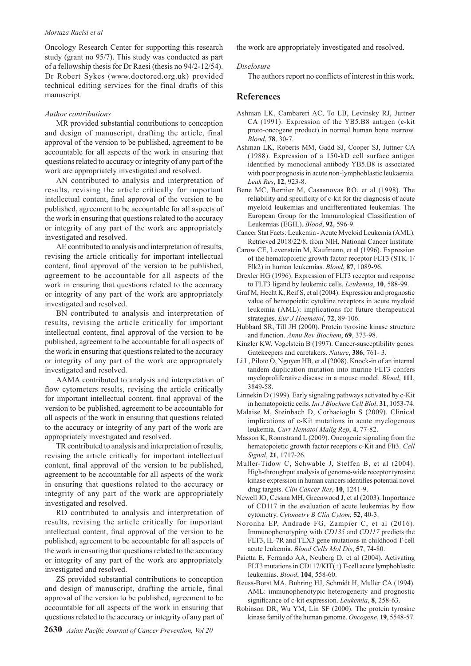Oncology Research Center for supporting this research study (grant no 95/7). This study was conducted as part of a fellowship thesis for Dr Raesi (thesis no 94/2-12/54). Dr Robert Sykes (www.doctored.org.uk) provided technical editing services for the final drafts of this manuscript.

## *Author contributions*

MR provided substantial contributions to conception and design of manuscript, drafting the article, final approval of the version to be published, agreement to be accountable for all aspects of the work in ensuring that questions related to accuracy or integrity of any part of the work are appropriately investigated and resolved.

AN contributed to analysis and interpretation of results, revising the article critically for important intellectual content, final approval of the version to be published, agreement to be accountable for all aspects of the work in ensuring that questions related to the accuracy or integrity of any part of the work are appropriately investigated and resolved.

AE contributed to analysis and interpretation of results, revising the article critically for important intellectual content, final approval of the version to be published, agreement to be accountable for all aspects of the work in ensuring that questions related to the accuracy or integrity of any part of the work are appropriately investigated and resolved.

BN contributed to analysis and interpretation of results, revising the article critically for important intellectual content, final approval of the version to be published, agreement to be accountable for all aspects of the work in ensuring that questions related to the accuracy or integrity of any part of the work are appropriately investigated and resolved.

AAMA contributed to analysis and interpretation of flow cytometers results, revising the article critically for important intellectual content, final approval of the version to be published, agreement to be accountable for all aspects of the work in ensuring that questions related to the accuracy or integrity of any part of the work are appropriately investigated and resolved.

TR contributed to analysis and interpretation of results, revising the article critically for important intellectual content, final approval of the version to be published, agreement to be accountable for all aspects of the work in ensuring that questions related to the accuracy or integrity of any part of the work are appropriately investigated and resolved.

RD contributed to analysis and interpretation of results, revising the article critically for important intellectual content, final approval of the version to be published, agreement to be accountable for all aspects of the work in ensuring that questions related to the accuracy or integrity of any part of the work are appropriately investigated and resolved.

ZS provided substantial contributions to conception and design of manuscript, drafting the article, final approval of the version to be published, agreement to be accountable for all aspects of the work in ensuring that questions related to the accuracy or integrity of any part of the work are appropriately investigated and resolved.

#### *Disclosure*

The authors report no conflicts of interest in this work.

## **References**

- Ashman LK, Cambareri AC, To LB, Levinsky RJ, Juttner CA (1991). Expression of the YB5.B8 antigen (c-kit proto-oncogene product) in normal human bone marrow. *Blood*, **78**, 30-7.
- Ashman LK, Roberts MM, Gadd SJ, Cooper SJ, Juttner CA (1988). Expression of a 150-kD cell surface antigen identified by monoclonal antibody YB5.B8 is associated with poor prognosis in acute non-lymphoblastic leukaemia. *Leuk Res*, **12**, 923-8.
- Bene MC, Bernier M, Casasnovas RO, et al (1998). The reliability and specificity of c-kit for the diagnosis of acute myeloid leukemias and undifferentiated leukemias. The European Group for the Immunological Classification of Leukemias (EGIL). *Blood*, **92**, 596-9.
- Cancer Stat Facts: Leukemia Acute Myeloid Leukemia (AML). Retrieved 2018/22/8, from NIH, National Cancer Institute
- Carow CE, Levenstein M, Kaufmann, et al (1996). Expression of the hematopoietic growth factor receptor FLT3 (STK-1/ Flk2) in human leukemias. *Blood*, **87**, 1089-96.
- Drexler HG (1996). Expression of FLT3 receptor and response to FLT3 ligand by leukemic cells. *Leukemia*, **10**, 588-99.
- Graf M, Hecht K, Reif S, et al (2004). Expression and prognostic value of hemopoietic cytokine receptors in acute myeloid leukemia (AML): implications for future therapeutical strategies. *Eur J Haematol*, **72**, 89-106.
- Hubbard SR, Till JH (2000). Protein tyrosine kinase structure and function. *Annu Rev Biochem*, **69**, 373-98.
- Kinzler KW, Vogelstein B (1997). Cancer-susceptibility genes. Gatekeepers and caretakers. *Nature*, **386**, 761- 3.
- Li L, Piloto O, Nguyen HB, et al (2008). Knock-in of an internal tandem duplication mutation into murine FLT3 confers myeloproliferative disease in a mouse model. *Blood*, **111**, 3849-58.
- Linnekin D (1999). Early signaling pathways activated by c-Kit in hematopoietic cells. *Int J Biochem Cell Biol*, **31**, 1053-74.
- Malaise M, Steinbach D, Corbacioglu S (2009). Clinical implications of c-Kit mutations in acute myelogenous leukemia. *Curr Hematol Malig Rep*, **4**, 77-82.
- Masson K, Ronnstrand L (2009). Oncogenic signaling from the hematopoietic growth factor receptors c-Kit and Flt3. *Cell Signal*, **21**, 1717-26.
- Muller-Tidow C, Schwable J, Steffen B, et al (2004). High-throughput analysis of genome-wide receptor tyrosine kinase expression in human cancers identifies potential novel drug targets. *Clin Cancer Res*, **10**, 1241-9.
- Newell JO, Cessna MH, Greenwood J, et al (2003). Importance of CD117 in the evaluation of acute leukemias by flow cytometry. *Cytometry B Clin Cytom*, **52**, 40-3.
- Noronha EP, Andrade FG, Zampier C, et al (2016). Immunophenotyping with *CD135* and *CD117* predicts the FLT3, IL-7R and TLX3 gene mutations in childhood T-cell acute leukemia. *Blood Cells Mol Dis*, **57**, 74-80.
- Paietta E, Ferrando AA, Neuberg D, et al (2004). Activating FLT3 mutations in CD117/KIT(+) T-cell acute lymphoblastic leukemias. *Blood*, **104**, 558-60.
- Reuss-Borst MA, Buhring HJ, Schmidt H, Muller CA (1994). AML: immunophenotypic heterogeneity and prognostic significance of c-kit expression. *Leukemia*, **8**, 258-63.
- Robinson DR, Wu YM, Lin SF (2000). The protein tyrosine kinase family of the human genome. *Oncogene*, **19**, 5548-57.